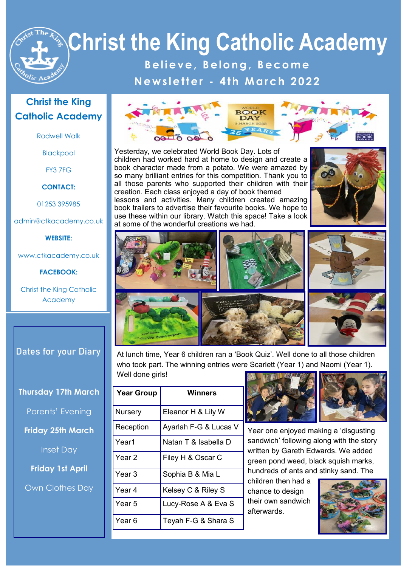**B e l i e v e , B e l o n g , B e c o m e N e w s l e t t e r - 4 t h M a r c h 2 0 2 2**

#### **Christ the King Catholic Academy**

Rodwell Walk

Blackpool

FY3 7FG

**CONTACT:**

01253 395985

admin@ctkacademy.co.uk

#### **WEBSITE:**

www.ctkacademy.co.uk

**FACEBOOK:**

Christ the King Catholic Academy

**Dates for your Diary**

**Thursday 17th March**

Parents' Evening

**Friday 25th March**

Inset Day

**Friday 1st April**

Own Clothes Day



Yesterday, we celebrated World Book Day. Lots of children had worked hard at home to design and create a book character made from a potato. We were amazed by so many brilliant entries for this competition. Thank you to all those parents who supported their children with their creation. Each class enjoyed a day of book themed lessons and activities. Many children created amazing book trailers to advertise their favourite books. We hope to use these within our library. Watch this space! Take a look at some of the wonderful creations we had.





At lunch time, Year 6 children ran a 'Book Quiz'. Well done to all those children who took part. The winning entries were Scarlett (Year 1) and Naomi (Year 1). Well done girls!

| <b>Year Group</b> | Winners               |
|-------------------|-----------------------|
| <b>Nursery</b>    | Eleanor H & Lily W    |
| Reception         | Ayarlah F-G & Lucas V |
| Year1             | Natan T & Isabella D  |
| Year 2            | Filey H & Oscar C     |
| Year 3            | Sophia B & Mia L      |
| Year 4            | Kelsey C & Riley S    |
| Year 5            | Lucy-Rose A & Eva S   |
| Year 6            | Teyah F-G & Shara S   |



Year one enjoyed making a 'disgusting sandwich' following along with the story written by Gareth Edwards. We added green pond weed, black squish marks, hundreds of ants and stinky sand. The

children then had a chance to design their own sandwich afterwards.

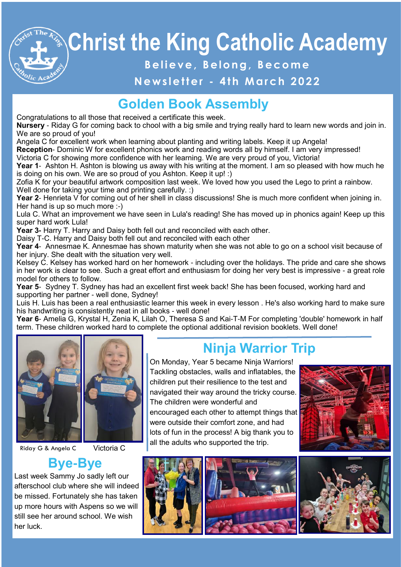#### **B e l i e v e , B e l o n g , B e c o m e**

#### **N e w s l e t t e r - 4 t h M a r c h 2 0 2 2**

## **Golden Book Assembly**

Congratulations to all those that received a certificate this week.

**Nursery** - Riday G for coming back to chool with a big smile and trying really hard to learn new words and join in. We are so proud of you!

Angela C for excellent work when learning about planting and writing labels. Keep it up Angela!

**Reception**- Dominic W for excellent phonics work and reading words all by himself. I am very impressed! Victoria C for showing more confidence with her learning. We are very proud of you, Victoria!

**Year 1-** Ashton H. Ashton is blowing us away with his writing at the moment. I am so pleased with how much he is doing on his own. We are so proud of you Ashton. Keep it up! :)

Zofia K for your beautiful artwork composition last week. We loved how you used the Lego to print a rainbow. Well done for taking your time and printing carefully. :)

**Year 2**- Henrieta V for coming out of her shell in class discussions! She is much more confident when joining in. Her hand is up so much more :-)

Lula C. What an improvement we have seen in Lula's reading! She has moved up in phonics again! Keep up this super hard work Lula!

**Year 3-** Harry T. Harry and Daisy both fell out and reconciled with each other.

Daisy T-C. Harry and Daisy both fell out and reconciled with each other

**Year 4**- Annesmae K. Annesmae has shown maturity when she was not able to go on a school visit because of her injury. She dealt with the situation very well.

Kelsey C. Kelsey has worked hard on her homework - including over the holidays. The pride and care she shows in her work is clear to see. Such a great effort and enthusiasm for doing her very best is impressive - a great role model for others to follow.

**Year 5**- Sydney T. Sydney has had an excellent first week back! She has been focused, working hard and supporting her partner - well done, Sydney!

Luis H. Luis has been a real enthusiastic learner this week in every lesson . He's also working hard to make sure his handwriting is consistently neat in all books - well done!

**Year 6**- Amelia G, Krystal H, Zenia K, Lilah O, Theresa S and Kai-T-M For completing 'double' homework in half term. These children worked hard to complete the optional additional revision booklets. Well done!



Riday G & Angela C Victoria C

#### **Bye-Bye**

Last week Sammy Jo sadly left our afterschool club where she will indeed be missed. Fortunately she has taken up more hours with Aspens so we will still see her around school. We wish her luck.

# **Ninja Warrior Trip**

On Monday, Year 5 became Ninja Warriors! Tackling obstacles, walls and inflatables, the children put their resilience to the test and navigated their way around the tricky course. The children were wonderful and encouraged each other to attempt things that were outside their comfort zone, and had lots of fun in the process! A big thank you to all the adults who supported the trip.







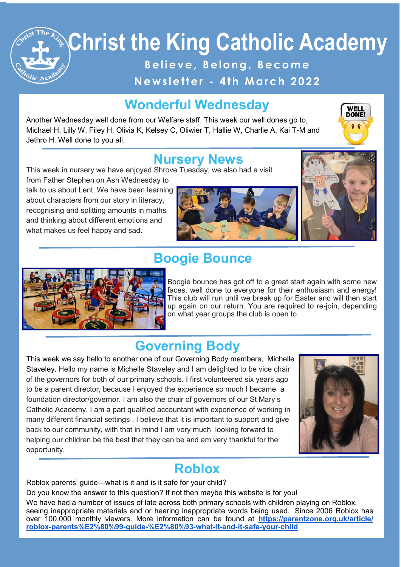**B e l i e v e , B e l o n g , B e c o m e**

**N e w s l e t t e r - 4 t h M a r c h 2 0 2 2**

# **Wonderful Wednesday**

Another Wednesday well done from our Welfare staff. This week our well dones go to, Michael H, Lilly W, Filey H, Olivia K, Kelsey C, Oliwier T, Hallie W, Charlie A, Kai T-M and Jethro H. Well done to you all.



#### **Nursery News**

This week in nursery we have enjoyed Shrove Tuesday, we also had a visit

from Father Stephen on Ash Wednesday to talk to us about Lent. We have been learning about characters from our story in literacy, recognising and splitting amounts in maths and thinking about different emotions and what makes us feel happy and sad.







## **Boogie Bounce**

Boogie bounce has got off to a great start again with some new faces, well done to everyone for their enthusiasm and energy! This club will run until we break up for Easter and will then start up again on our return. You are required to re-join, depending on what year groups the club is open to.

# **Governing Body**

This week we say hello to another one of our Governing Body members, Michelle Staveley. Hello my name is Michelle Staveley and I am delighted to be vice chair of the governors for both of our primary schools. I first volunteered six years ago to be a parent director, because I enjoyed the experience so much I became a foundation director/governor. I am also the chair of governors of our St Mary's Catholic Academy. I am a part qualified accountant with experience of working in many different financial settings . I believe that it is important to support and give back to our community, with that in mind I am very much looking forward to helping our children be the best that they can be and am very thankful for the opportunity.



#### **Roblox**

Roblox parents' guide—what is it and is it safe for your child?

Do you know the answer to this question? If not then maybe this website is for you!

We have had a number of issues of late across both primary schools with children playing on Roblox, seeing inappropriate materials and or hearing inappropriate words being used. Since 2006 Roblox has over 100.000 monthly viewers. More information can be found at **[https://parentzone.org.uk/article/](https://parentzone.org.uk/article/roblox-parents%E2%80%99-guide-%E2%80%93-what-it-and-it-safe-your-child) [roblox-parents%E2%80%99-guide-%E2%80%93-what-it-and-it-safe-your-child](https://parentzone.org.uk/article/roblox-parents%E2%80%99-guide-%E2%80%93-what-it-and-it-safe-your-child)**